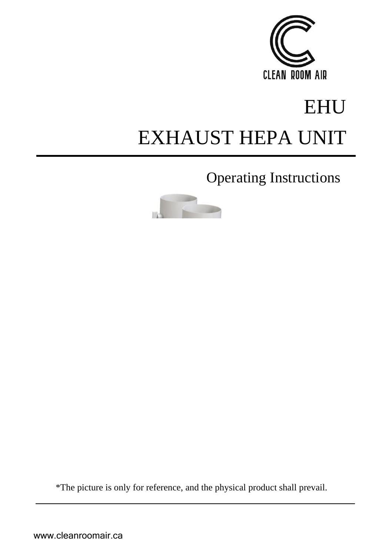

# EHU EXHAUST HEPA UNIT

Operating Instructions

\*The picture is only for reference, and the physical product shall prevail.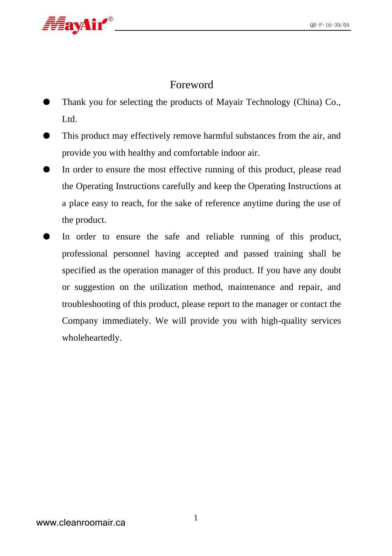

#### Foreword

- Thank you for selecting the products of Mayair Technology (China) Co., Ltd.
- This product may effectively remove harmful substances from the air, and provide you with healthy and comfortable indoor air.
- In order to ensure the most effective running of this product, please read the Operating Instructions carefully and keep the Operating Instructions at a place easy to reach, for the sake of reference anytime during the use of the product.
- In order to ensure the safe and reliable running of this product, professional personnel having accepted and passed training shall be specified as the operation manager of this product. If you have any doubt or suggestion on the utilization method, maintenance and repair, and troubleshooting of this product, please report to the manager or contact the Company immediately. We will provide you with high-quality services wholeheartedly.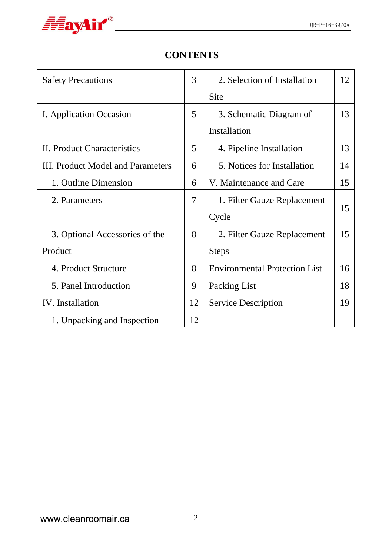

### **CONTENTS**

| <b>Safety Precautions</b>         | 3  | 2. Selection of Installation         | 12 |
|-----------------------------------|----|--------------------------------------|----|
|                                   |    | Site                                 |    |
| I. Application Occasion           | 5  | 3. Schematic Diagram of              | 13 |
|                                   |    | Installation                         |    |
| II. Product Characteristics       | 5  | 4. Pipeline Installation             | 13 |
| III. Product Model and Parameters | 6  | 5. Notices for Installation          | 14 |
| 1. Outline Dimension              | 6  | V. Maintenance and Care              | 15 |
| 2. Parameters                     | 7  | 1. Filter Gauze Replacement          |    |
|                                   |    | Cycle                                | 15 |
| 3. Optional Accessories of the    | 8  | 2. Filter Gauze Replacement          | 15 |
| Product                           |    | <b>Steps</b>                         |    |
| 4. Product Structure              | 8  | <b>Environmental Protection List</b> | 16 |
| 5. Panel Introduction             | 9  | Packing List                         | 18 |
| IV. Installation                  | 12 | Service Description                  | 19 |
| 1. Unpacking and Inspection       | 12 |                                      |    |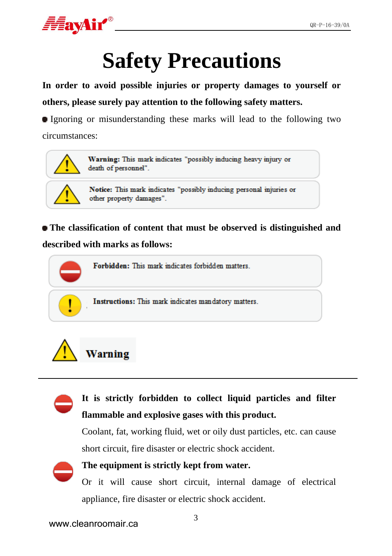

# **Safety Precautions**

**In order to avoid possible injuries or property damages to yourself or others, please surely pay attention to the following safety matters.**

Ignoring or misunderstanding these marks will lead to the following two circumstances:



Warning: This mark indicates "possibly inducing heavy injury or death of personnel".

Notice: This mark indicates "possibly inducing personal injuries or other property damages".

**The classification of content that must be observed is distinguished and described with marks as follows:**







Coolant, fat, working fluid, wet or oily dust particles, etc. can cause short circuit, fire disaster or electric shock accident.



#### **The equipment is strictly kept from water.**

Or it will cause short circuit, internal damage of electrical appliance, fire disaster or electric shock accident.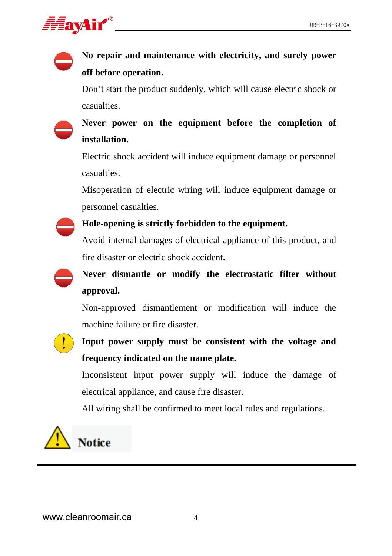

# **No repair and maintenance with electricity, and surely power off before operation.**

Don't start the product suddenly, which will cause electric shock or casualties.

## **Never power on the equipment before the completion of installation.**

Electric shock accident will induce equipment damage or personnel casualties.

Misoperation of electric wiring will induce equipment damage or personnel casualties.



#### **Hole-opening is strictly forbidden to the equipment.**

Avoid internal damages of electrical appliance of this product, and fire disaster or electric shock accident.



# **Never dismantle or modify the electrostatic filter without approval.**

Non-approved dismantlement or modification will induce the machine failure or fire disaster.

**Input power supply must be consistent with the voltage and frequency indicated on the name plate.**

Inconsistent input power supply will induce the damage of electrical appliance, and cause fire disaster.

All wiring shall be confirmed to meet local rules and regulations.

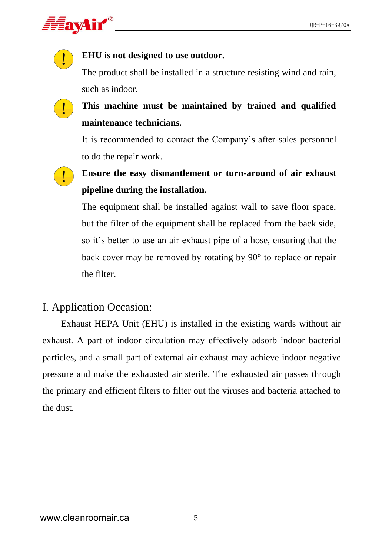

#### **EHU is not designed to use outdoor.**

The product shall be installed in a structure resisting wind and rain, such as indoor.

**This machine must be maintained by trained and qualified maintenance technicians.** 

It is recommended to contact the Company's after-sales personnel to do the repair work.

**Ensure the easy dismantlement or turn-around of air exhaust pipeline during the installation.**

The equipment shall be installed against wall to save floor space, but the filter of the equipment shall be replaced from the back side, so it's better to use an air exhaust pipe of a hose, ensuring that the back cover may be removed by rotating by 90° to replace or repair the filter.

#### I. Application Occasion:

Exhaust HEPA Unit (EHU) is installed in the existing wards without air exhaust. A part of indoor circulation may effectively adsorb indoor bacterial particles, and a small part of external air exhaust may achieve indoor negative pressure and make the exhausted air sterile. The exhausted air passes through the primary and efficient filters to filter out the viruses and bacteria attached to the dust.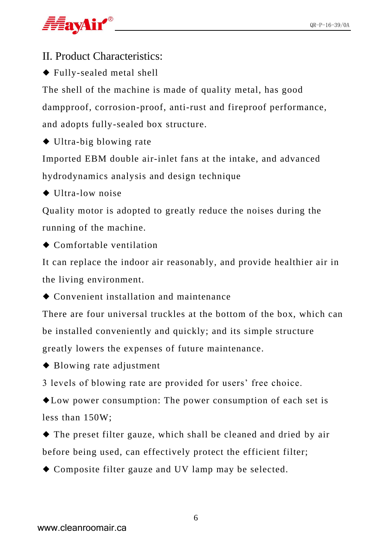

II. Product Characteristics:

◆ Fully-sealed metal shell

The shell of the machine is made of quality metal, has good dampproof, corrosion-proof, anti-rust and fireproof performance, and adopts fully-sealed box structure.

◆ Ultra-big blowing rate

Imported EBM double air-inlet fans at the intake, and advanced hydrodynamics analysis and design technique

◆ Illtra-low noise

Quality motor is adopted to greatly reduce the noises during the running of the machine.

◆ Comfortable ventilation

It can replace the indoor air reasonably, and provide healthier air in the living environment.

◆ Convenient installation and maintenance

There are four universal truckles at the bottom of the box, which can be installed conveniently and quickly; and its simple structure greatly lowers the expenses of future maintenance.

- ◆ Blowing rate adjustment
- 3 levels of blowing rate are provided for users' free choice.

◆Low power consumption: The power consumption of each set is less than 150W;

◆ The preset filter gauze, which shall be cleaned and dried by air before being used, can effectively protect the efficient filter;

◆ Composite filter gauze and UV lamp may be selected.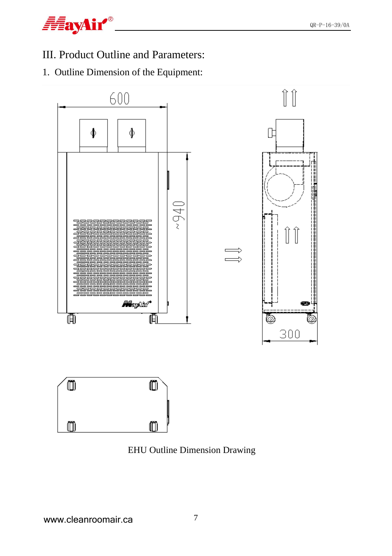

### III. Product Outline and Parameters:

1. Outline Dimension of the Equipment:



EHU Outline Dimension Drawing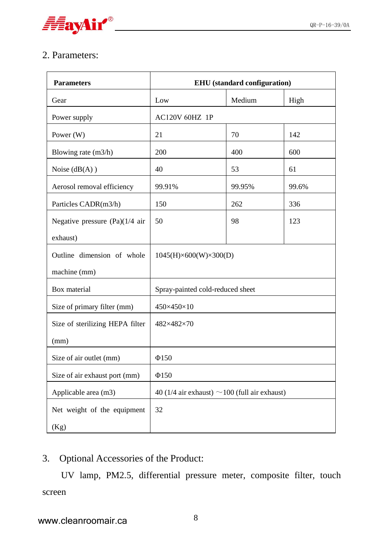

#### 2. Parameters:

| <b>Parameters</b>                | <b>EHU</b> (standard configuration)                |        |       |  |
|----------------------------------|----------------------------------------------------|--------|-------|--|
| Gear                             | Low                                                | Medium | High  |  |
| Power supply                     | <b>AC120V 60HZ 1P</b>                              |        |       |  |
| Power $(W)$                      | 21                                                 | 70     | 142   |  |
| Blowing rate (m3/h)              | 200                                                | 400    | 600   |  |
| Noise $(dB(A))$                  | 40                                                 | 53     | 61    |  |
| Aerosol removal efficiency       | 99.91%                                             | 99.95% | 99.6% |  |
| Particles CADR(m3/h)             | 150                                                | 262    | 336   |  |
| Negative pressure $(Pa)(1/4$ air | 50                                                 | 98     | 123   |  |
| exhaust)                         |                                                    |        |       |  |
| Outline dimension of whole       | 1045(H)×600(W)×300(D)                              |        |       |  |
| machine (mm)                     |                                                    |        |       |  |
| Box material                     | Spray-painted cold-reduced sheet                   |        |       |  |
| Size of primary filter (mm)      | 450×450×10                                         |        |       |  |
| Size of sterilizing HEPA filter  | 482×482×70                                         |        |       |  |
| (mm)                             |                                                    |        |       |  |
| Size of air outlet (mm)          | $\Phi$ 150                                         |        |       |  |
| Size of air exhaust port (mm)    | $\Phi$ 150                                         |        |       |  |
| Applicable area (m3)             | 40 (1/4 air exhaust) $\sim$ 100 (full air exhaust) |        |       |  |
| Net weight of the equipment      | 32                                                 |        |       |  |
| (Kg)                             |                                                    |        |       |  |

#### 3. Optional Accessories of the Product:

UV lamp, PM2.5, differential pressure meter, composite filter, touch screen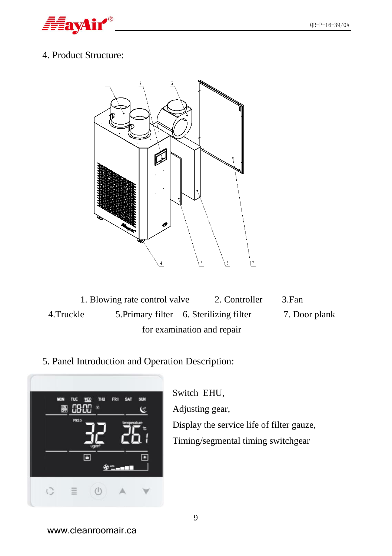

#### 4. Product Structure:



- 1. Blowing rate control valve 2. Controller 3.Fan 4.Truckle 5.Primary filter 6. Sterilizing filter 7. Door plank for examination and repair
- 5. Panel Introduction and Operation Description:



Switch EHU, Adjusting gear, Display the service life of filter gauze, Timing/segmental timing switchgear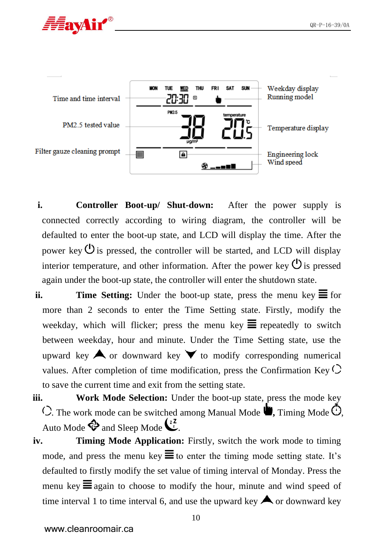



- **i. Controller Boot-up/ Shut-down:** After the power supply is connected correctly according to wiring diagram, the controller will be defaulted to enter the boot-up state, and LCD will display the time. After the power key  $\mathcal{O}$  is pressed, the controller will be started, and LCD will display interior temperature, and other information. After the power key  $\mathcal{O}_{\text{is pressed}}$ again under the boot-up state, the controller will enter the shutdown state.
- **ii. Time Setting:** Under the boot-up state, press the menu key  $\equiv$  for more than 2 seconds to enter the Time Setting state. Firstly, modify the weekday, which will flicker; press the menu key  $\equiv$  repeatedly to switch between weekday, hour and minute. Under the Time Setting state, use the upward key  $\blacktriangle$  or downward key  $\blacktriangledown$  to modify corresponding numerical values. After completion of time modification, press the Confirmation Key  $\circlearrowright$ to save the current time and exit from the setting state.
- **iii. Work Mode Selection:** Under the boot-up state, press the mode key  $\circ$ . The work mode can be switched among Manual Mode  $\bullet$ , Timing Mode  $\circ$ , Auto Mode  $\bigotimes$  and Sleep Mode  $\bigcup_{k=1}^{2}$
- **iv. Timing Mode Application:** Firstly, switch the work mode to timing mode, and press the menu key  $\equiv$  to enter the timing mode setting state. It's defaulted to firstly modify the set value of timing interval of Monday. Press the menu key  $\equiv$  again to choose to modify the hour, minute and wind speed of time interval 1 to time interval 6, and use the upward key  $\bigwedge$  or downward key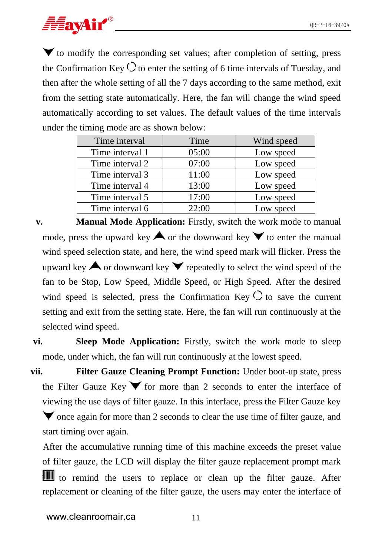

 $\blacktriangledown$  to modify the corresponding set values; after completion of setting, press the Confirmation Key  $\circlearrowright$  to enter the setting of 6 time intervals of Tuesday, and then after the whole setting of all the 7 days according to the same method, exit from the setting state automatically. Here, the fan will change the wind speed automatically according to set values. The default values of the time intervals under the timing mode are as shown below:

| Time interval   | Time  | Wind speed |
|-----------------|-------|------------|
| Time interval 1 | 05:00 | Low speed  |
| Time interval 2 | 07:00 | Low speed  |
| Time interval 3 | 11:00 | Low speed  |
| Time interval 4 | 13:00 | Low speed  |
| Time interval 5 | 17:00 | Low speed  |
| Time interval 6 | 22:00 | Low speed  |

**v. Manual Mode Application:** Firstly, switch the work mode to manual mode, press the upward key  $\blacktriangle$  or the downward key  $\blacktriangledown$  to enter the manual wind speed selection state, and here, the wind speed mark will flicker. Press the upward key  $\bigwedge$  or downward key  $\bigvee$  repeatedly to select the wind speed of the fan to be Stop, Low Speed, Middle Speed, or High Speed. After the desired wind speed is selected, press the Confirmation Key  $\circlearrowright$  to save the current setting and exit from the setting state. Here, the fan will run continuously at the selected wind speed.

**vi. Sleep Mode Application:** Firstly, switch the work mode to sleep mode, under which, the fan will run continuously at the lowest speed.

**vii. Filter Gauze Cleaning Prompt Function:** Under boot-up state, press the Filter Gauze Key  $\blacktriangledown$  for more than 2 seconds to enter the interface of viewing the use days of filter gauze. In this interface, press the Filter Gauze key

 $\blacktriangledown$  once again for more than 2 seconds to clear the use time of filter gauze, and start timing over again.

After the accumulative running time of this machine exceeds the preset value of filter gauze, the LCD will display the filter gauze replacement prompt mark to remind the users to replace or clean up the filter gauze. After replacement or cleaning of the filter gauze, the users may enter the interface of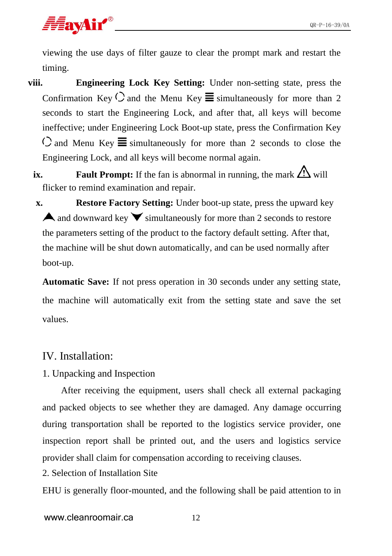# *FavAir®*

viewing the use days of filter gauze to clear the prompt mark and restart the timing.

- **viii. Engineering Lock Key Setting:** Under non-setting state, press the Confirmation Key  $\bigcirc$  and the Menu Key  $\equiv$  simultaneously for more than 2 seconds to start the Engineering Lock, and after that, all keys will become ineffective; under Engineering Lock Boot-up state, press the Confirmation Key  $\circ$  and Menu Key  $\equiv$  simultaneously for more than 2 seconds to close the Engineering Lock, and all keys will become normal again.
	- **ix. Fault Prompt:** If the fan is abnormal in running, the mark  $\Delta$  will flicker to remind examination and repair.
	- **x. Restore Factory Setting:** Under boot-up state, press the upward key A and downward key  $\blacktriangledown$  simultaneously for more than 2 seconds to restore the parameters setting of the product to the factory default setting. After that, the machine will be shut down automatically, and can be used normally after boot-up.

**Automatic Save:** If not press operation in 30 seconds under any setting state, the machine will automatically exit from the setting state and save the set values.

#### IV. Installation:

1. Unpacking and Inspection

After receiving the equipment, users shall check all external packaging and packed objects to see whether they are damaged. Any damage occurring during transportation shall be reported to the logistics service provider, one inspection report shall be printed out, and the users and logistics service provider shall claim for compensation according to receiving clauses.

2. Selection of Installation Site

EHU is generally floor-mounted, and the following shall be paid attention to in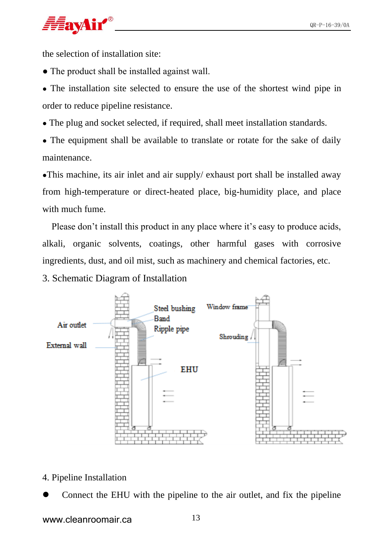

the selection of installation site:

- The product shall be installed against wall.
- The installation site selected to ensure the use of the shortest wind pipe in order to reduce pipeline resistance.
- The plug and socket selected, if required, shall meet installation standards.
- The equipment shall be available to translate or rotate for the sake of daily maintenance.

●This machine, its air inlet and air supply/ exhaust port shall be installed away from high-temperature or direct-heated place, big-humidity place, and place with much fume.

Please don't install this product in any place where it's easy to produce acids, alkali, organic solvents, coatings, other harmful gases with corrosive ingredients, dust, and oil mist, such as machinery and chemical factories, etc.

3. Schematic Diagram of Installation



- 4. Pipeline Installation
- ⚫ Connect the EHU with the pipeline to the air outlet, and fix the pipeline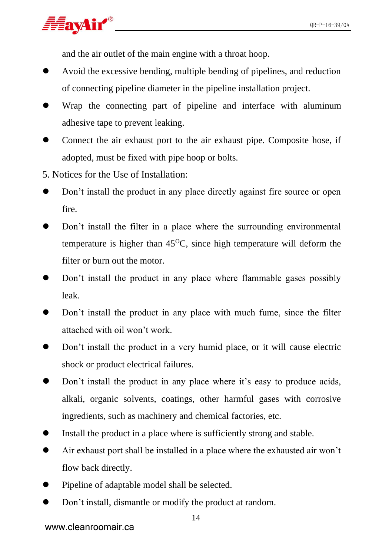

and the air outlet of the main engine with a throat hoop.

- ⚫ Avoid the excessive bending, multiple bending of pipelines, and reduction of connecting pipeline diameter in the pipeline installation project.
- Wrap the connecting part of pipeline and interface with aluminum adhesive tape to prevent leaking.
- ⚫ Connect the air exhaust port to the air exhaust pipe. Composite hose, if adopted, must be fixed with pipe hoop or bolts.
- 5. Notices for the Use of Installation:
- Don't install the product in any place directly against fire source or open fire.
- Don't install the filter in a place where the surrounding environmental temperature is higher than  $45^{\circ}$ C, since high temperature will deform the filter or burn out the motor.
- ⚫ Don't install the product in any place where flammable gases possibly leak.
- ⚫ Don't install the product in any place with much fume, since the filter attached with oil won't work.
- ⚫ Don't install the product in a very humid place, or it will cause electric shock or product electrical failures.
- Don't install the product in any place where it's easy to produce acids, alkali, organic solvents, coatings, other harmful gases with corrosive ingredients, such as machinery and chemical factories, etc.
- ⚫ Install the product in a place where is sufficiently strong and stable.
- ⚫ Air exhaust port shall be installed in a place where the exhausted air won't flow back directly.
- ⚫ Pipeline of adaptable model shall be selected.
- Don't install, dismantle or modify the product at random.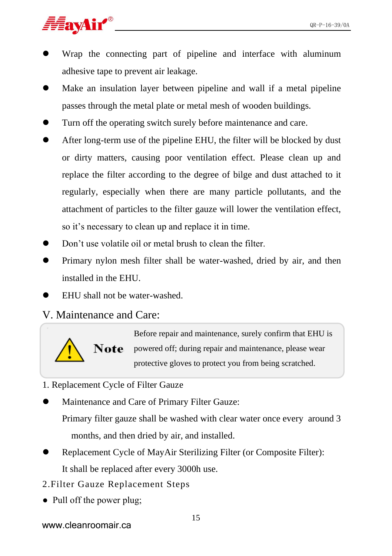

- ⚫ Wrap the connecting part of pipeline and interface with aluminum adhesive tape to prevent air leakage.
- ⚫ Make an insulation layer between pipeline and wall if a metal pipeline passes through the metal plate or metal mesh of wooden buildings.
- ⚫ Turn off the operating switch surely before maintenance and care.
- ⚫ After long-term use of the pipeline EHU, the filter will be blocked by dust or dirty matters, causing poor ventilation effect. Please clean up and replace the filter according to the degree of bilge and dust attached to it regularly, especially when there are many particle pollutants, and the attachment of particles to the filter gauze will lower the ventilation effect, so it's necessary to clean up and replace it in time.
- Don't use volatile oil or metal brush to clean the filter.
- ⚫ Primary nylon mesh filter shall be water-washed, dried by air, and then installed in the EHU.
- ⚫ EHU shall not be water-washed.

#### V. Maintenance and Care:



Before repair and maintenance, surely confirm that EHU is Note powered off; during repair and maintenance, please wear protective gloves to protect you from being scratched.

- 1. Replacement Cycle of Filter Gauze
- ⚫ Maintenance and Care of Primary Filter Gauze:

Primary filter gauze shall be washed with clear water once every around 3 months, and then dried by air, and installed.

- ⚫ Replacement Cycle of MayAir Sterilizing Filter (or Composite Filter): It shall be replaced after every 3000h use.
- 2.Filter Gauze Replacement Steps
- Pull off the power plug;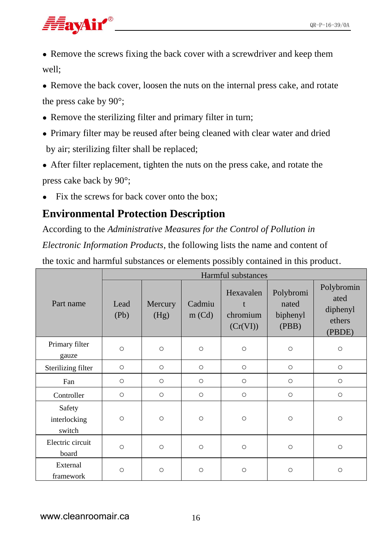- Remove the screws fixing the back cover with a screwdriver and keep them well;
- Remove the back cover, loosen the nuts on the internal press cake, and rotate the press cake by 90°;
- Remove the sterilizing filter and primary filter in turn;
- Primary filter may be reused after being cleaned with clear water and dried by air; sterilizing filter shall be replaced;
- After filter replacement, tighten the nuts on the press cake, and rotate the press cake back by 90°;
- Fix the screws for back cover onto the box:

#### **Environmental Protection Description**

According to the *Administrative Measures for the Control of Pollution in* 

*Electronic Information Products*, the following lists the name and content of

the toxic and harmful substances or elements possibly contained in this product.

|                                  | Harmful substances |                 |                  |                                   |                                         |                                                    |
|----------------------------------|--------------------|-----------------|------------------|-----------------------------------|-----------------------------------------|----------------------------------------------------|
| Part name                        | Lead<br>(Pb)       | Mercury<br>(Hg) | Cadmiu<br>m (Cd) | Hexavalen<br>chromium<br>(Cr(VI)) | Polybromi<br>nated<br>biphenyl<br>(PBB) | Polybromin<br>ated<br>diphenyl<br>ethers<br>(PBDE) |
| Primary filter<br>gauze          | $\circ$            | $\circ$         | $\circ$          | $\circ$                           | $\circ$                                 | $\circ$                                            |
| Sterilizing filter               | $\circ$            | $\circ$         | $\circ$          | $\circ$                           | $\circ$                                 | $\circ$                                            |
| Fan                              | $\circ$            | $\circ$         | $\circ$          | $\circ$                           | $\circ$                                 | $\circ$                                            |
| Controller                       | $\circ$            | $\circ$         | $\circ$          | $\circ$                           | $\circ$                                 | $\circ$                                            |
| Safety<br>interlocking<br>switch | $\circ$            | $\circ$         | $\circ$          | $\circ$                           | $\circ$                                 | $\circ$                                            |
| Electric circuit<br>board        | $\circ$            | $\circ$         | $\circ$          | $\circ$                           | $\circ$                                 | $\circ$                                            |
| External<br>framework            | $\circ$            | $\circ$         | $\circ$          | $\circ$                           | $\circ$                                 | $\circ$                                            |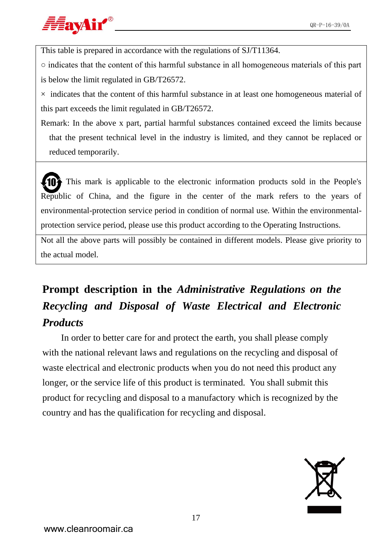

This table is prepared in accordance with the regulations of SJ/T11364.

 $\circ$  indicates that the content of this harmful substance in all homogeneous materials of this part is below the limit regulated in GB/T26572.

 $\times$  indicates that the content of this harmful substance in at least one homogeneous material of this part exceeds the limit regulated in GB/T26572.

Remark: In the above x part, partial harmful substances contained exceed the limits because that the present technical level in the industry is limited, and they cannot be replaced or reduced temporarily.

This mark is applicable to the electronic information products sold in the People's Republic of China, and the figure in the center of the mark refers to the years of environmental-protection service period in condition of normal use. Within the environmentalprotection service period, please use this product according to the Operating Instructions. 10

Not all the above parts will possibly be contained in different models. Please give priority to the actual model.

# **Prompt description in the** *Administrative Regulations on the Recycling and Disposal of Waste Electrical and Electronic Products*

In order to better care for and protect the earth, you shall please comply with the national relevant laws and regulations on the recycling and disposal of waste electrical and electronic products when you do not need this product any longer, or the service life of this product is terminated. You shall submit this product for recycling and disposal to a manufactory which is recognized by the country and has the qualification for recycling and disposal.

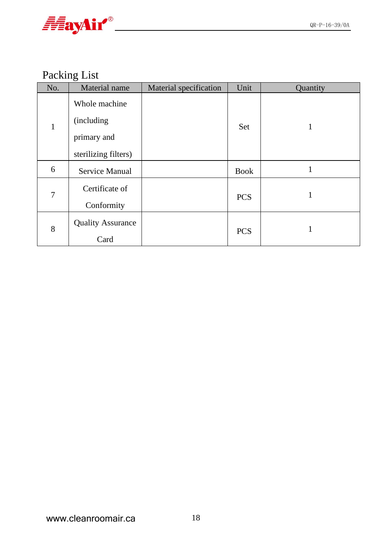

# Packing List

| No. | Material name                                                       | Material specification | Unit        | Quantity |
|-----|---------------------------------------------------------------------|------------------------|-------------|----------|
| 1   | Whole machine<br>(including)<br>primary and<br>sterilizing filters) |                        | Set         |          |
| 6   | Service Manual                                                      |                        | <b>Book</b> | 1        |
| 7   | Certificate of<br>Conformity                                        |                        | <b>PCS</b>  | 1        |
| 8   | <b>Quality Assurance</b><br>Card                                    |                        | <b>PCS</b>  |          |